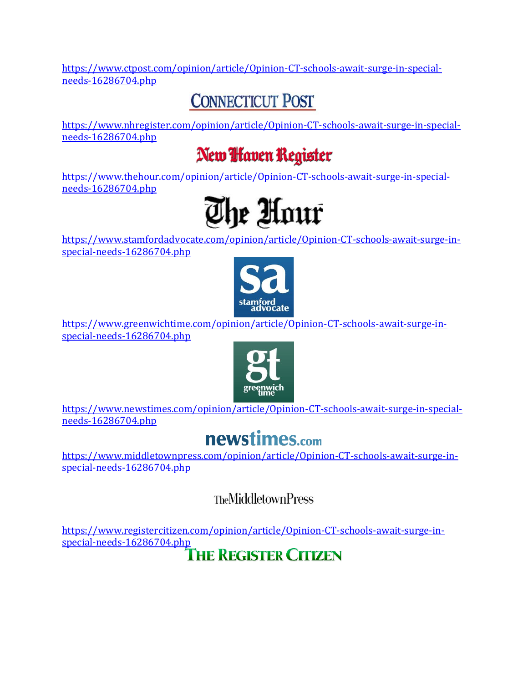[https://www.ctpost.com/opinion/article/Opinion-CT-schools-await-surge-in-special](https://www.ctpost.com/opinion/article/Opinion-CT-schools-await-surge-in-special-needs-16286704.php)[needs-16286704.php](https://www.ctpost.com/opinion/article/Opinion-CT-schools-await-surge-in-special-needs-16286704.php)

## **CONNECTICUT POST**

[https://www.nhregister.com/opinion/article/Opinion-CT-schools-await-surge-in-special](https://www.nhregister.com/opinion/article/Opinion-CT-schools-await-surge-in-special-needs-16286704.php)[needs-16286704.php](https://www.nhregister.com/opinion/article/Opinion-CT-schools-await-surge-in-special-needs-16286704.php)

## New *Haven* Register

[https://www.thehour.com/opinion/article/Opinion-CT-schools-await-surge-in-special](https://www.thehour.com/opinion/article/Opinion-CT-schools-await-surge-in-special-needs-16286704.php)[needs-16286704.php](https://www.thehour.com/opinion/article/Opinion-CT-schools-await-surge-in-special-needs-16286704.php)



[https://www.stamfordadvocate.com/opinion/article/Opinion-CT-schools-await-surge-in](https://www.stamfordadvocate.com/opinion/article/Opinion-CT-schools-await-surge-in-special-needs-16286704.php)[special-needs-16286704.php](https://www.stamfordadvocate.com/opinion/article/Opinion-CT-schools-await-surge-in-special-needs-16286704.php)



[https://www.greenwichtime.com/opinion/article/Opinion-CT-schools-await-surge-in](https://www.greenwichtime.com/opinion/article/Opinion-CT-schools-await-surge-in-special-needs-16286704.php)[special-needs-16286704.php](https://www.greenwichtime.com/opinion/article/Opinion-CT-schools-await-surge-in-special-needs-16286704.php)



[https://www.newstimes.com/opinion/article/Opinion-CT-schools-await-surge-in-special](https://www.newstimes.com/opinion/article/Opinion-CT-schools-await-surge-in-special-needs-16286704.php)[needs-16286704.php](https://www.newstimes.com/opinion/article/Opinion-CT-schools-await-surge-in-special-needs-16286704.php)

## newstimes.com

[https://www.middletownpress.com/opinion/article/Opinion-CT-schools-await-surge-in](https://www.middletownpress.com/opinion/article/Opinion-CT-schools-await-surge-in-special-needs-16286704.php)[special-needs-16286704.php](https://www.middletownpress.com/opinion/article/Opinion-CT-schools-await-surge-in-special-needs-16286704.php)

**TheMiddletownPress** 

[https://www.registercitizen.com/opinion/article/Opinion-CT-schools-await-surge-in](https://www.registercitizen.com/opinion/article/Opinion-CT-schools-await-surge-in-special-needs-16286704.php)[special-needs-16286704.php](https://www.registercitizen.com/opinion/article/Opinion-CT-schools-await-surge-in-special-needs-16286704.php)<br>
THE REGISTER CITIZEN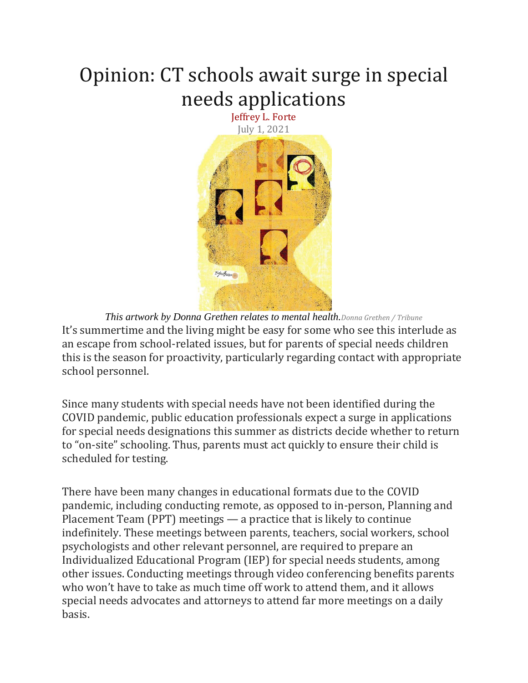## Opinion: CT schools await surge in special needs applications



*This artwork by Donna Grethen relates to mental health.Donna Grethen / Tribune* It's summertime and the living might be easy for some who see this interlude as an escape from school-related issues, but for parents of special needs children this is the season for proactivity, particularly regarding contact with appropriate school personnel.

Since many students with special needs have not been identified during the COVID pandemic, public education professionals expect a surge in applications for special needs designations this summer as districts decide whether to return to "on-site" schooling. Thus, parents must act quickly to ensure their child is scheduled for testing.

There have been many changes in educational formats due to the COVID pandemic, including conducting remote, as opposed to in-person, Planning and Placement Team (PPT) meetings — a practice that is likely to continue indefinitely. These meetings between parents, teachers, social workers, school psychologists and other relevant personnel, are required to prepare an Individualized Educational Program (IEP) for special needs students, among other issues. Conducting meetings through video conferencing benefits parents who won't have to take as much time off work to attend them, and it allows special needs advocates and attorneys to attend far more meetings on a daily basis.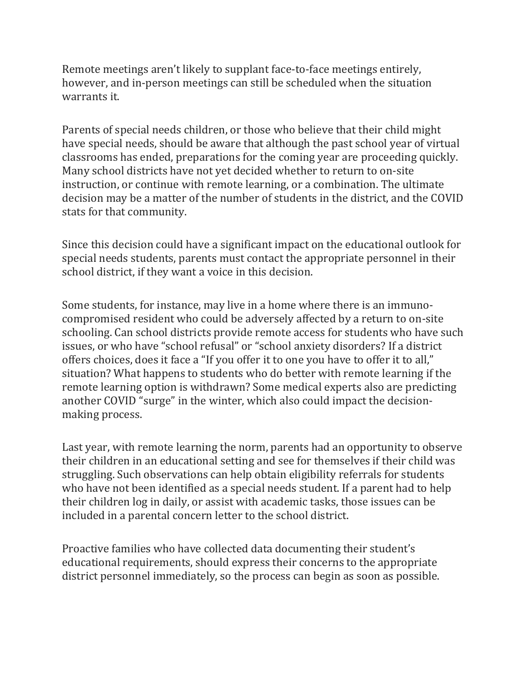Remote meetings aren't likely to supplant face-to-face meetings entirely, however, and in-person meetings can still be scheduled when the situation warrants it.

Parents of special needs children, or those who believe that their child might have special needs, should be aware that although the past school year of virtual classrooms has ended, preparations for the coming year are proceeding quickly. Many school districts have not yet decided whether to return to on-site instruction, or continue with remote learning, or a combination. The ultimate decision may be a matter of the number of students in the district, and the COVID stats for that community.

Since this decision could have a significant impact on the educational outlook for special needs students, parents must contact the appropriate personnel in their school district, if they want a voice in this decision.

Some students, for instance, may live in a home where there is an immunocompromised resident who could be adversely affected by a return to on-site schooling. Can school districts provide remote access for students who have such issues, or who have "school refusal" or "school anxiety disorders? If a district offers choices, does it face a "If you offer it to one you have to offer it to all," situation? What happens to students who do better with remote learning if the remote learning option is withdrawn? Some medical experts also are predicting another COVID "surge" in the winter, which also could impact the decisionmaking process.

Last year, with remote learning the norm, parents had an opportunity to observe their children in an educational setting and see for themselves if their child was struggling. Such observations can help obtain eligibility referrals for students who have not been identified as a special needs student. If a parent had to help their children log in daily, or assist with academic tasks, those issues can be included in a parental concern letter to the school district.

Proactive families who have collected data documenting their student's educational requirements, should express their concerns to the appropriate district personnel immediately, so the process can begin as soon as possible.